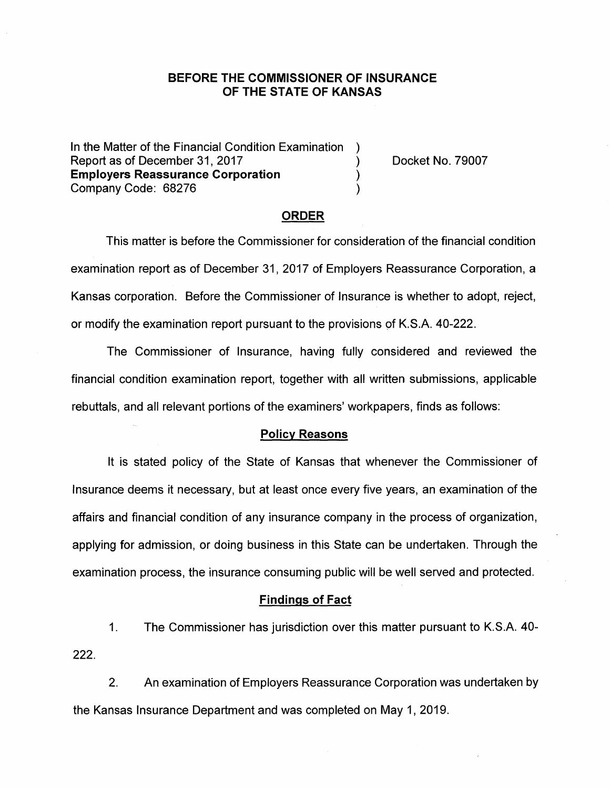# **BEFORE THE COMMISSIONER OF INSURANCE OF THE STATE OF KANSAS**

In the Matter of the Financial Condition Examination ) Report as of December 31, 2017 (and the control of the Docket No. 79007) **Employers Reassurance Corporation** ) Company Code: 68276 )

#### **ORDER**

This matter is before the Commissioner for consideration of the financial condition examination report as of December 31, 2017 of Employers Reassurance Corporation, a Kansas corporation. Before the Commissioner of Insurance is whether to adopt, reject, or modify the examination report pursuant to the provisions pf K.S.A. 40-222.

The Commissioner of Insurance, having fully considered and reviewed the financial condition examination report, together with all written submissions, applicable rebuttals, and all relevant portions of the examiners' workpapers, finds as follows:

#### **Policy Reasons**

It is stated policy of the State of Kansas that whenever the Commissioner of Insurance deems it necessary, but at least once every five years, an examination of the affairs and financial condition of any insurance company in the process of organization, applying for admission, or doing business in this State can be undertaken. Through the examination process, the insurance consuming public will be well served and protected.

#### **Findings of Fact**

1. The Commissioner has jurisdiction over this matter pursuant to K.S.A. 40- 222.

2. An examination of Employers Reassurance Corporation was undertaken by the Kansas Insurance Department and was completed on May 1, 2019.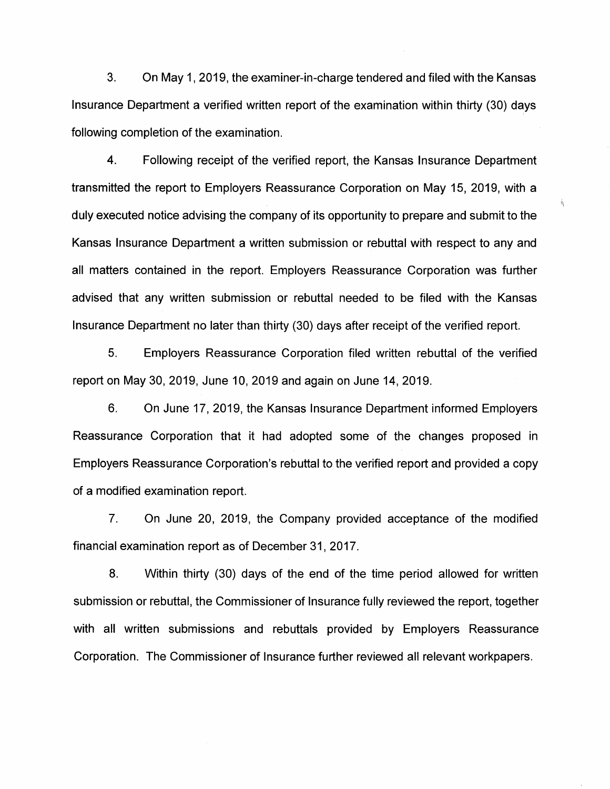3. On May 1, 2019, the examiner-in-charge tendered and filed with the Kansas Insurance Department a verified written report of the examination within thirty (30) days following completion of the examination.

4. Following receipt of the verified report, the Kansas Insurance Department transmitted the report to Employers Reassurance Corporation on May 15, 2019, with a duly executed notice advising the company of its opportunity to prepare and submit to the Kansas Insurance Department a written submission or rebuttal with respect to any and all matters contained in the report. Employers Reassurance Corporation was further advised that any written submission or rebuttal needed to be filed with the Kansas Insurance Department no later than thirty (30) days after receipt of the verified report.

 $\hat{\theta}$ 

5. Employers Reassurance Corporation filed written rebuttal of the verified report on May 30, 2019, June 10, 2019 and again on June 14, 2019.

6. On June 17, 2019, the Kansas Insurance Department informed Employers Reassurance Corporation that it had adopted some of the changes proposed in Employers Reassurance Corporation's rebuttal to the verified report and provided a copy of a modified examination report.

7. On June 20, 2019, the Company provided acceptance of the modified financial examination report as of December 31, 2017.

8. Within thirty (30) days of the end of the time period allowed for written submission or rebuttal, the Commissioner of Insurance fully reviewed the report, together with all written submissions and rebuttals provided by Employers Reassurance Corporation. The Commissioner of Insurance further reviewed all relevant workpapers.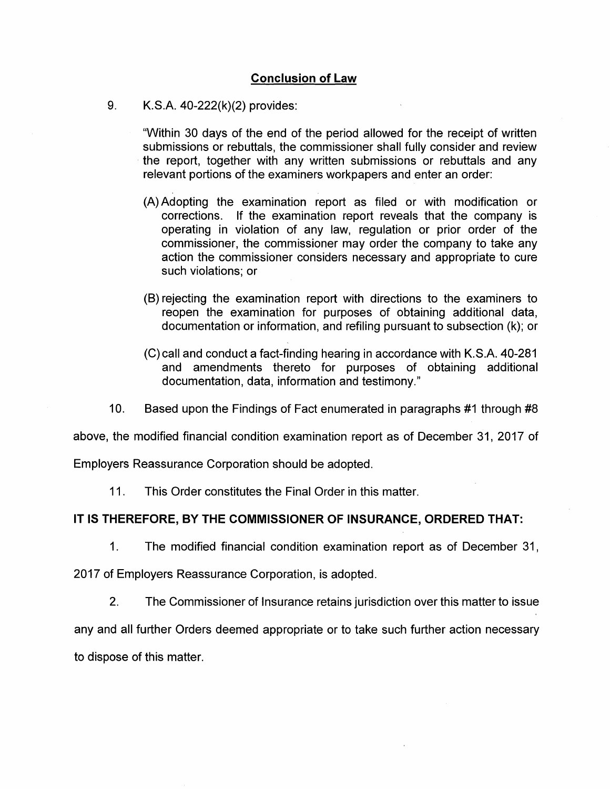## **Conclusion of Law**

9. K.S.A. 40-222(k)(2) provides:

"Within 30 days of the end of the period allowed for the receipt of written submissions or rebuttals, the commissioner shall fully consider and review the report, together with any written submissions or rebuttals and any relevant portions of the examiners workpapers and enter an order:

- (A) Adopting the examination report as filed or with modification or corrections. If the examination report reveals that the company is operating in violation of any law, regulation or prior order of the commissioner, the commissioner may order the company to take any action the commissioner considers necessary and appropriate to cure such violations; or
- (B) rejecting the examination report with directions to the examiners to reopen the examination for purposes of obtaining additional data, documentation or information, and refiling pursuant to subsection (k); or
- (C) call and conduct a fact-finding hearing in accordance with K.S.A. 40-281 and amendments thereto for purposes of obtaining additional documentation, data, information and testimony."
- 10. Based upon the Findings of Fact enumerated in paragraphs #1 through #8

above, the modified financial condition examination report as of December 31, 2017 of

Employers Reassurance Corporation should be adopted.

11. This Order constitutes the Final Order in this matter.

## **IT IS THEREFORE, BY THE COMMISSIONER OF INSURANCE, ORDERED THAT:**

1. The modified financial condition examination report as of December 31,

2017 of Employers Reassurance Corporation, is adopted.

2. The Commissioner of Insurance retains jurisdiction over this matter to issue any and all further Orders deemed appropriate or to take such further action necessary to dispose of this matter.